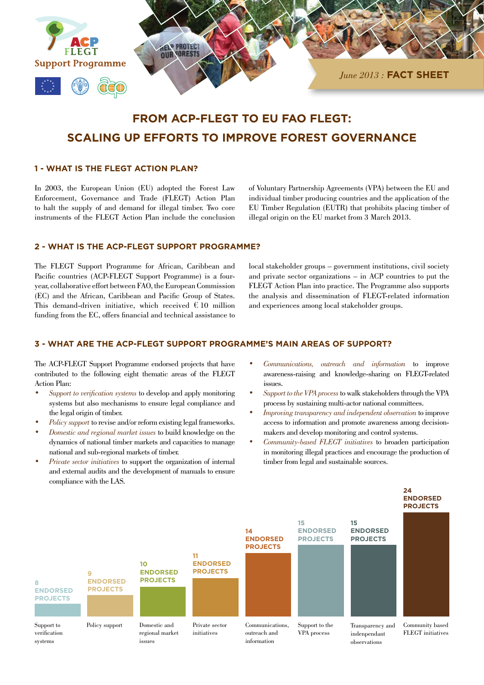

# **FROM ACP-FLEGT TO EU FAO FLEGT: SCALING UP EFFORTS TO IMPROVE FOREST GOVERNANCE**

### **1 - WHAT IS THE FLEGT ACTION PLAN?**

In 2003, the European Union (EU) adopted the Forest Law Enforcement, Governance and Trade (FLEGT) Action Plan to halt the supply of and demand for illegal timber. Two core instruments of the FLEGT Action Plan include the conclusion of Voluntary Partnership Agreements (VPA) between the EU and individual timber producing countries and the application of the EU Timber Regulation (EUTR) that prohibits placing timber of illegal origin on the EU market from 3 March 2013.

#### **2 - WHAT IS THE ACP-FLEGT SUPPORT PROGRAMME?**

The FLEGT Support Programme for African, Caribbean and Pacific countries (ACP-FLEGT Support Programme) is a fouryear, collaborative effort between FAO, the European Commission (EC) and the African, Caribbean and Pacific Group of States. This demand-driven initiative, which received  $\widehat{\epsilon} \widehat{\mathbf{\Theta}}$ 0 million funding from the EC, offers financial and technical assistance to local stakeholder groups – government institutions, civil society and private sector organizations – in ACP countries to put the FLEGT Action Plan into practice. The Programme also supports the analysis and dissemination of FLEGT-related information and experiences among local stakeholder groups.

## **3 - WHAT ARE THE ACP-FLEGT SUPPORT PROGRAMME'S MAIN AREAS OF SUPPORT?**

The ACP-FLEGT Support Programme endorsed projects that have contributed to the following eight thematic areas of the FLEGT Action Plan:

- *• Support to verification systems* to develop and apply monitoring systems but also mechanisms to ensure legal compliance and the legal origin of timber.
- *Policy support* to revise and/or reform existing legal frameworks.
- *• Domestic and regional market issues* to build knowledge on the dynamics of national timber markets and capacities to manage national and sub-regional markets of timber.
- *Private sector initiatives* to support the organization of internal and external audits and the development of manuals to ensure compliance with the LAS.
- *• Communications, outreach and information* to improve awareness-raising and knowledge-sharing on FLEGT-related issues.
- *• Support to the VPA process*to walk stakeholders through the VPA process by sustaining multi-actor national committees.
- *• Improving transparency and independent observation* to improve access to information and promote awareness among decisionmakers and develop monitoring and control systems.
- *• Community-based FLEGT initiatives* to broaden participation in monitoring illegal practices and encourage the production of timber from legal and sustainable sources.